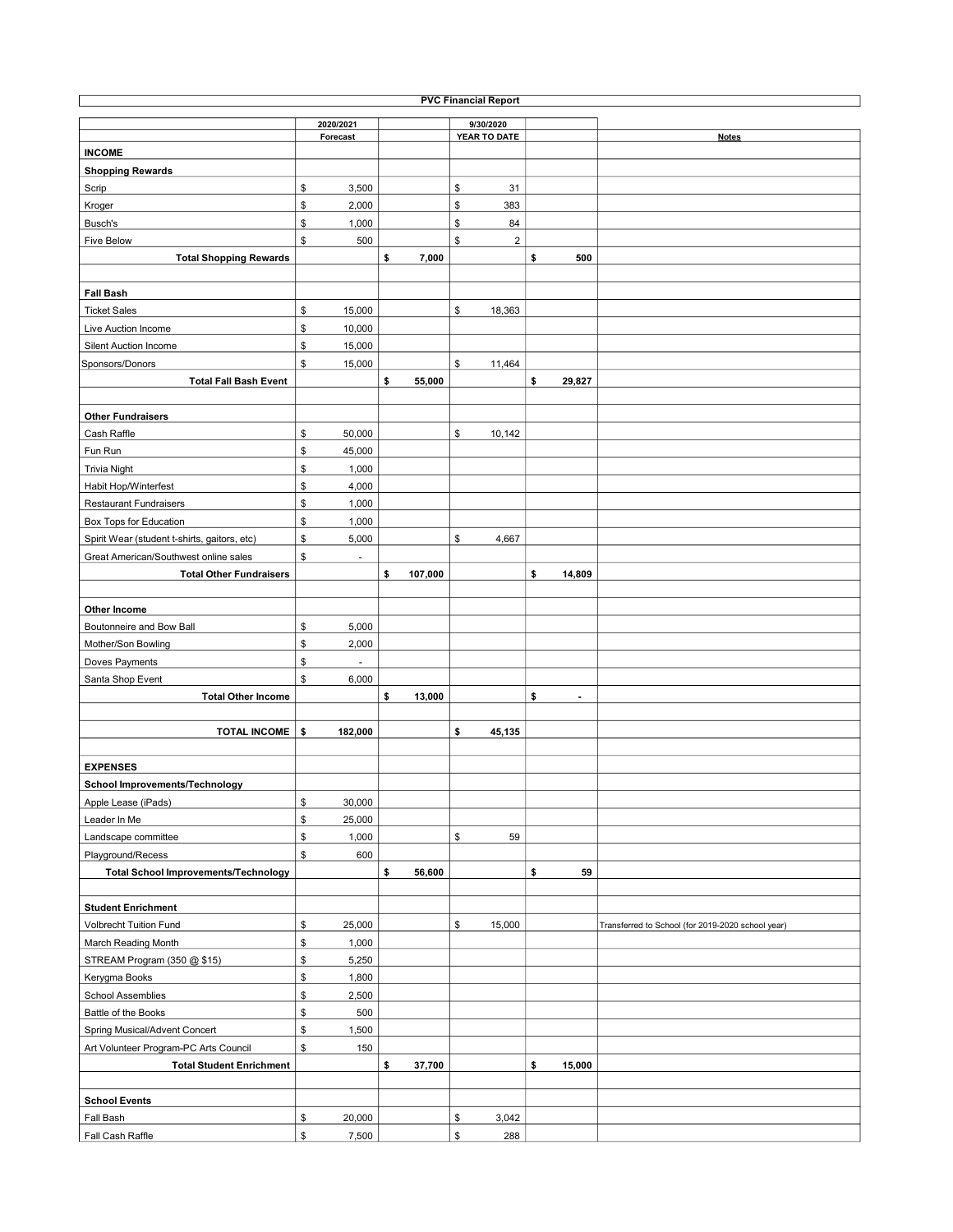| <b>PVC Financial Report</b>                  |               |               |                         |                      |                                                   |  |  |  |  |  |  |  |
|----------------------------------------------|---------------|---------------|-------------------------|----------------------|---------------------------------------------------|--|--|--|--|--|--|--|
|                                              | 2020/2021     |               | 9/30/2020               |                      |                                                   |  |  |  |  |  |  |  |
|                                              | Forecast      |               | YEAR TO DATE            |                      | <b>Notes</b>                                      |  |  |  |  |  |  |  |
| <b>INCOME</b>                                |               |               |                         |                      |                                                   |  |  |  |  |  |  |  |
| <b>Shopping Rewards</b>                      |               |               |                         |                      |                                                   |  |  |  |  |  |  |  |
| Scrip                                        | \$<br>3,500   |               | \$<br>31                |                      |                                                   |  |  |  |  |  |  |  |
| Kroger                                       | \$<br>2,000   |               | \$<br>383               |                      |                                                   |  |  |  |  |  |  |  |
| Busch's                                      | \$<br>1,000   |               | \$<br>84                |                      |                                                   |  |  |  |  |  |  |  |
| <b>Five Below</b>                            | \$<br>500     |               | \$<br>$\overline{2}$    |                      |                                                   |  |  |  |  |  |  |  |
|                                              |               |               |                         |                      |                                                   |  |  |  |  |  |  |  |
| <b>Total Shopping Rewards</b>                |               | \$<br>7,000   |                         | \$<br>500            |                                                   |  |  |  |  |  |  |  |
|                                              |               |               |                         |                      |                                                   |  |  |  |  |  |  |  |
| <b>Fall Bash</b>                             |               |               |                         |                      |                                                   |  |  |  |  |  |  |  |
| <b>Ticket Sales</b>                          | \$<br>15,000  |               | \$<br>18,363            |                      |                                                   |  |  |  |  |  |  |  |
| Live Auction Income                          | \$<br>10,000  |               |                         |                      |                                                   |  |  |  |  |  |  |  |
| Silent Auction Income                        | \$<br>15,000  |               |                         |                      |                                                   |  |  |  |  |  |  |  |
| Sponsors/Donors                              | \$<br>15,000  |               | \$<br>11,464            |                      |                                                   |  |  |  |  |  |  |  |
| <b>Total Fall Bash Event</b>                 |               | \$<br>55,000  |                         | \$<br>29,827         |                                                   |  |  |  |  |  |  |  |
|                                              |               |               |                         |                      |                                                   |  |  |  |  |  |  |  |
| <b>Other Fundraisers</b>                     |               |               |                         |                      |                                                   |  |  |  |  |  |  |  |
| Cash Raffle                                  | \$<br>50,000  |               | \$<br>10,142            |                      |                                                   |  |  |  |  |  |  |  |
| Fun Run                                      | \$<br>45,000  |               |                         |                      |                                                   |  |  |  |  |  |  |  |
| <b>Trivia Night</b>                          | \$<br>1,000   |               |                         |                      |                                                   |  |  |  |  |  |  |  |
| Habit Hop/Winterfest                         | \$<br>4,000   |               |                         |                      |                                                   |  |  |  |  |  |  |  |
| <b>Restaurant Fundraisers</b>                | \$<br>1,000   |               |                         |                      |                                                   |  |  |  |  |  |  |  |
| Box Tops for Education                       | \$<br>1,000   |               |                         |                      |                                                   |  |  |  |  |  |  |  |
|                                              |               |               |                         |                      |                                                   |  |  |  |  |  |  |  |
| Spirit Wear (student t-shirts, gaitors, etc) | \$<br>5,000   |               | \$<br>4,667             |                      |                                                   |  |  |  |  |  |  |  |
| Great American/Southwest online sales        | \$<br>ä,      |               |                         |                      |                                                   |  |  |  |  |  |  |  |
| <b>Total Other Fundraisers</b>               |               | \$<br>107,000 |                         | \$<br>14,809         |                                                   |  |  |  |  |  |  |  |
|                                              |               |               |                         |                      |                                                   |  |  |  |  |  |  |  |
| Other Income                                 |               |               |                         |                      |                                                   |  |  |  |  |  |  |  |
| Boutonneire and Bow Ball                     | \$<br>5,000   |               |                         |                      |                                                   |  |  |  |  |  |  |  |
| Mother/Son Bowling                           | \$<br>2,000   |               |                         |                      |                                                   |  |  |  |  |  |  |  |
| Doves Payments                               | \$<br>ä,      |               |                         |                      |                                                   |  |  |  |  |  |  |  |
| Santa Shop Event                             | \$<br>6,000   |               |                         |                      |                                                   |  |  |  |  |  |  |  |
| <b>Total Other Income</b>                    |               | \$<br>13,000  |                         | \$<br>$\overline{a}$ |                                                   |  |  |  |  |  |  |  |
|                                              |               |               |                         |                      |                                                   |  |  |  |  |  |  |  |
| <b>TOTAL INCOME</b>                          | \$<br>182,000 |               | \$<br>45,135            |                      |                                                   |  |  |  |  |  |  |  |
|                                              |               |               |                         |                      |                                                   |  |  |  |  |  |  |  |
| <b>EXPENSES</b>                              |               |               |                         |                      |                                                   |  |  |  |  |  |  |  |
| School Improvements/Technology               |               |               |                         |                      |                                                   |  |  |  |  |  |  |  |
| Apple Lease (iPads)                          | \$<br>30,000  |               |                         |                      |                                                   |  |  |  |  |  |  |  |
|                                              |               |               |                         |                      |                                                   |  |  |  |  |  |  |  |
| Leader In Me                                 | \$<br>25,000  |               |                         |                      |                                                   |  |  |  |  |  |  |  |
| Landscape committee                          | \$<br>1,000   |               | \$<br>59                |                      |                                                   |  |  |  |  |  |  |  |
| Playground/Recess                            | \$<br>600     |               |                         |                      |                                                   |  |  |  |  |  |  |  |
| <b>Total School Improvements/Technology</b>  |               | \$<br>56,600  |                         | \$<br>59             |                                                   |  |  |  |  |  |  |  |
|                                              |               |               |                         |                      |                                                   |  |  |  |  |  |  |  |
| <b>Student Enrichment</b>                    |               |               |                         |                      |                                                   |  |  |  |  |  |  |  |
| Volbrecht Tuition Fund                       | \$<br>25,000  |               | \$<br>15,000            |                      | Transferred to School (for 2019-2020 school year) |  |  |  |  |  |  |  |
| March Reading Month                          | \$<br>1,000   |               |                         |                      |                                                   |  |  |  |  |  |  |  |
| STREAM Program (350 @ \$15)                  | \$<br>5,250   |               |                         |                      |                                                   |  |  |  |  |  |  |  |
| Kerygma Books                                | \$<br>1,800   |               |                         |                      |                                                   |  |  |  |  |  |  |  |
| School Assemblies                            | \$<br>2,500   |               |                         |                      |                                                   |  |  |  |  |  |  |  |
| Battle of the Books                          | \$<br>500     |               |                         |                      |                                                   |  |  |  |  |  |  |  |
| Spring Musical/Advent Concert                | \$<br>1,500   |               |                         |                      |                                                   |  |  |  |  |  |  |  |
| Art Volunteer Program-PC Arts Council        | \$<br>150     |               |                         |                      |                                                   |  |  |  |  |  |  |  |
| <b>Total Student Enrichment</b>              |               | \$<br>37,700  |                         | \$<br>15,000         |                                                   |  |  |  |  |  |  |  |
|                                              |               |               |                         |                      |                                                   |  |  |  |  |  |  |  |
|                                              |               |               |                         |                      |                                                   |  |  |  |  |  |  |  |
| <b>School Events</b>                         |               |               |                         |                      |                                                   |  |  |  |  |  |  |  |
| Fall Bash                                    | \$<br>20,000  |               | $$\mathbb{S}$$<br>3,042 |                      |                                                   |  |  |  |  |  |  |  |
| Fall Cash Raffle                             | \$<br>7,500   |               | \$<br>288               |                      |                                                   |  |  |  |  |  |  |  |